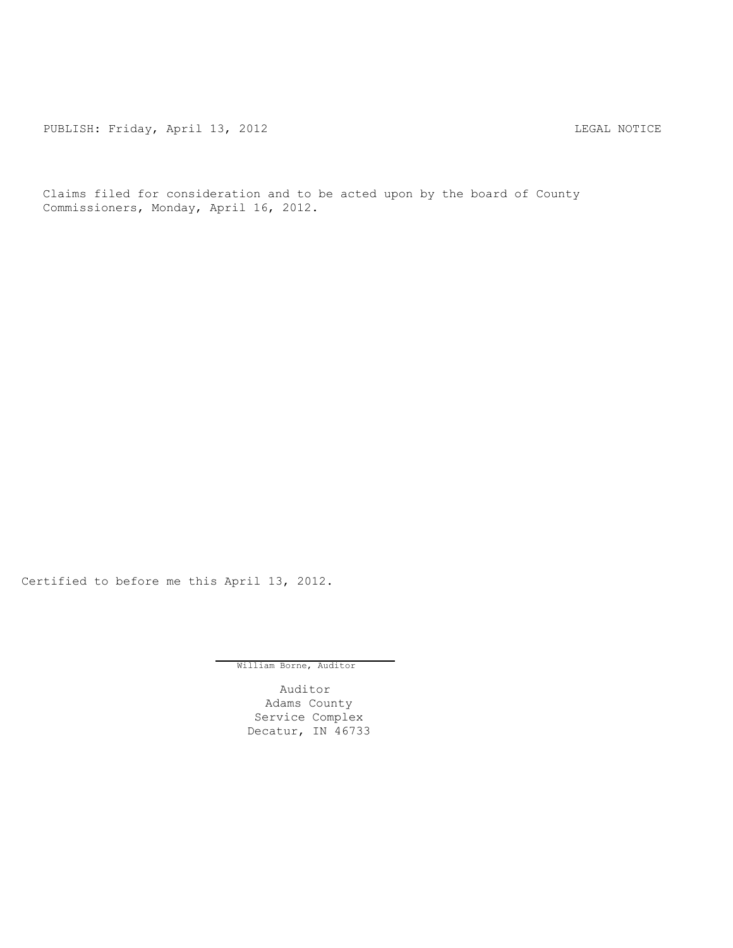PUBLISH: Friday, April 13, 2012 <br>
LEGAL NOTICE

Claims filed for consideration and to be acted upon by the board of County Commissioners, Monday, April 16, 2012.

Certified to before me this April 13, 2012.

William Borne, Auditor

Auditor Adams County Service Complex Decatur, IN 46733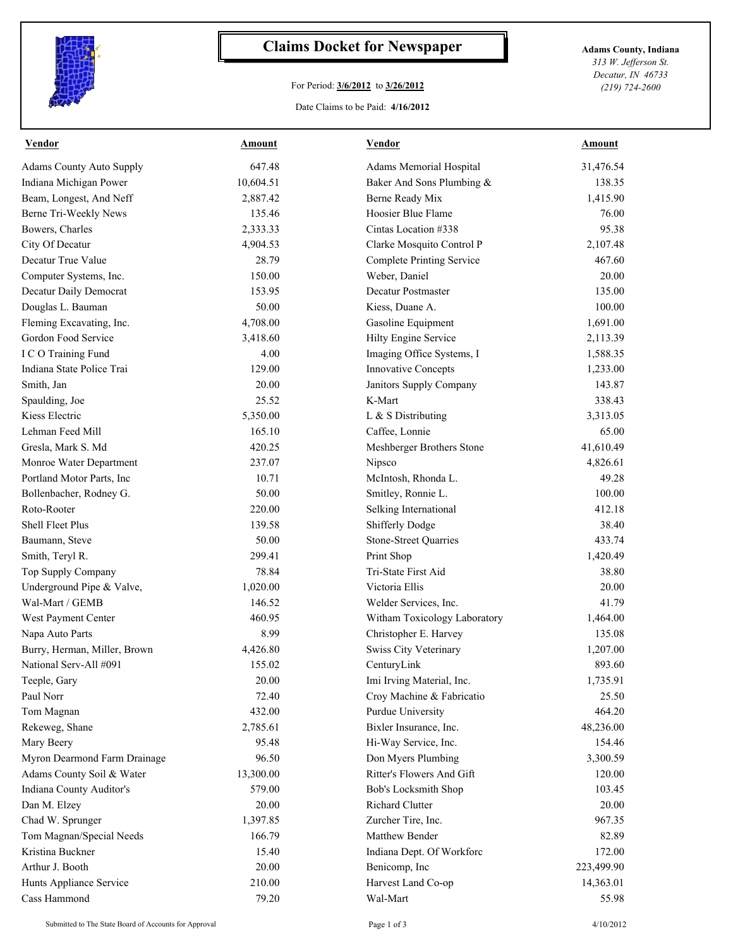

## **Claims Docket for Newspaper Adams County, Indiana**

## For Period: **3/6/2012** to **3/26/2012**

Date Claims to be Paid: **4/16/2012**

*313 W. Jefferson St. Decatur, IN 46733 (219) 724-2600*

| <b>Vendor</b>                   | Amount          | Vendor                                          | Amount          |
|---------------------------------|-----------------|-------------------------------------------------|-----------------|
| <b>Adams County Auto Supply</b> | 647.48          | Adams Memorial Hospital                         | 31,476.54       |
| Indiana Michigan Power          | 10,604.51       | Baker And Sons Plumbing &                       | 138.35          |
| Beam, Longest, And Neff         | 2,887.42        | Berne Ready Mix                                 | 1,415.90        |
| Berne Tri-Weekly News           | 135.46          | Hoosier Blue Flame                              | 76.00           |
| Bowers, Charles                 | 2,333.33        | Cintas Location #338                            | 95.38           |
| City Of Decatur                 | 4,904.53        | Clarke Mosquito Control P                       | 2,107.48        |
| Decatur True Value              | 28.79           | <b>Complete Printing Service</b>                | 467.60          |
| Computer Systems, Inc.          | 150.00          | Weber, Daniel                                   | 20.00           |
| Decatur Daily Democrat          | 153.95          | Decatur Postmaster                              | 135.00          |
| Douglas L. Bauman               | 50.00           | Kiess, Duane A.                                 | 100.00          |
| Fleming Excavating, Inc.        | 4,708.00        | Gasoline Equipment                              | 1,691.00        |
| Gordon Food Service             | 3,418.60        | Hilty Engine Service                            | 2,113.39        |
| I C O Training Fund             | 4.00            | Imaging Office Systems, I                       | 1,588.35        |
| Indiana State Police Trai       | 129.00          | <b>Innovative Concepts</b>                      | 1,233.00        |
| Smith, Jan                      | 20.00           | Janitors Supply Company                         | 143.87          |
| Spaulding, Joe                  | 25.52           | K-Mart                                          | 338.43          |
| Kiess Electric                  | 5,350.00        | L & S Distributing                              | 3,313.05        |
| Lehman Feed Mill                | 165.10          | Caffee, Lonnie                                  | 65.00           |
| Gresla, Mark S. Md              | 420.25          | Meshberger Brothers Stone                       | 41,610.49       |
| Monroe Water Department         | 237.07          | Nipsco                                          | 4,826.61        |
| Portland Motor Parts, Inc       | 10.71           | McIntosh, Rhonda L.                             | 49.28           |
| Bollenbacher, Rodney G.         | 50.00           | Smitley, Ronnie L.                              | 100.00          |
| Roto-Rooter                     | 220.00          | Selking International                           | 412.18          |
| <b>Shell Fleet Plus</b>         | 139.58          | Shifferly Dodge                                 | 38.40           |
| Baumann, Steve                  | 50.00           | <b>Stone-Street Quarries</b>                    | 433.74          |
| Smith, Teryl R.                 | 299.41          | Print Shop                                      | 1,420.49        |
| Top Supply Company              | 78.84           | Tri-State First Aid                             | 38.80           |
| Underground Pipe & Valve,       | 1,020.00        | Victoria Ellis                                  | 20.00           |
| Wal-Mart / GEMB                 | 146.52          | Welder Services, Inc.                           | 41.79           |
| West Payment Center             | 460.95          | Witham Toxicology Laboratory                    | 1,464.00        |
| Napa Auto Parts                 | 8.99            | Christopher E. Harvey                           | 135.08          |
| Burry, Herman, Miller, Brown    | 4,426.80        | Swiss City Veterinary                           | 1,207.00        |
| National Serv-All #091          | 155.02          | CenturyLink                                     | 893.60          |
| Teeple, Gary                    | 20.00           | Imi Irving Material, Inc.                       | 1,735.91        |
|                                 |                 |                                                 |                 |
| Paul Norr                       | 72.40<br>432.00 | Croy Machine & Fabricatio<br>Purdue University  | 25.50<br>464.20 |
| Tom Magnan<br>Rekeweg, Shane    | 2,785.61        |                                                 |                 |
|                                 |                 | Bixler Insurance, Inc.                          | 48,236.00       |
| Mary Beery                      | 95.48           | Hi-Way Service, Inc.                            | 154.46          |
| Myron Dearmond Farm Drainage    | 96.50           | Don Myers Plumbing<br>Ritter's Flowers And Gift | 3,300.59        |
| Adams County Soil & Water       | 13,300.00       |                                                 | 120.00          |
| Indiana County Auditor's        | 579.00          | Bob's Locksmith Shop                            | 103.45          |
| Dan M. Elzey                    | 20.00           | Richard Clutter                                 | 20.00           |
| Chad W. Sprunger                | 1,397.85        | Zurcher Tire, Inc.                              | 967.35          |
| Tom Magnan/Special Needs        | 166.79          | Matthew Bender                                  | 82.89           |
| Kristina Buckner                | 15.40           | Indiana Dept. Of Workforc                       | 172.00          |
| Arthur J. Booth                 | 20.00           | Benicomp, Inc                                   | 223,499.90      |
| Hunts Appliance Service         | 210.00          | Harvest Land Co-op                              | 14,363.01       |
| Cass Hammond                    | 79.20           | Wal-Mart                                        | 55.98           |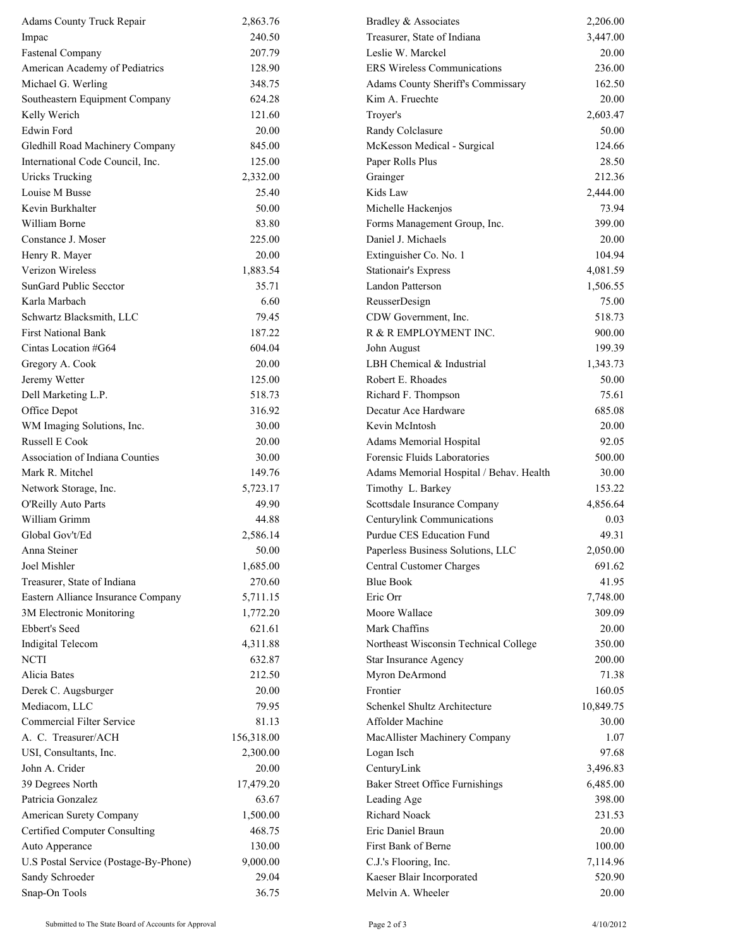| Adams County Truck Repair             | 2,863.76   | Bradley & Associates                    | 2,206.00  |
|---------------------------------------|------------|-----------------------------------------|-----------|
| Impac                                 | 240.50     | Treasurer, State of Indiana             | 3,447.00  |
| <b>Fastenal Company</b>               | 207.79     | Leslie W. Marckel                       | 20.00     |
| American Academy of Pediatrics        | 128.90     | <b>ERS Wireless Communications</b>      | 236.00    |
| Michael G. Werling                    | 348.75     | Adams County Sheriff's Commissary       | 162.50    |
| Southeastern Equipment Company        | 624.28     | Kim A. Fruechte                         | 20.00     |
| Kelly Werich                          | 121.60     | Troyer's                                | 2,603.47  |
| Edwin Ford                            | 20.00      | Randy Colclasure                        | 50.00     |
| Gledhill Road Machinery Company       | 845.00     | McKesson Medical - Surgical             | 124.66    |
| International Code Council, Inc.      | 125.00     | Paper Rolls Plus                        | 28.50     |
| <b>Uricks Trucking</b>                | 2,332.00   | Grainger                                | 212.36    |
| Louise M Busse                        | 25.40      | Kids Law                                | 2,444.00  |
| Kevin Burkhalter                      | 50.00      | Michelle Hackenjos                      | 73.94     |
| William Borne                         | 83.80      | Forms Management Group, Inc.            | 399.00    |
| Constance J. Moser                    | 225.00     | Daniel J. Michaels                      | 20.00     |
| Henry R. Mayer                        | 20.00      | Extinguisher Co. No. 1                  | 104.94    |
| Verizon Wireless                      | 1,883.54   | <b>Stationair's Express</b>             | 4,081.59  |
| SunGard Public Secctor                | 35.71      | <b>Landon Patterson</b>                 | 1,506.55  |
| Karla Marbach                         | 6.60       | ReusserDesign                           | 75.00     |
| Schwartz Blacksmith, LLC              | 79.45      | CDW Government, Inc.                    | 518.73    |
| <b>First National Bank</b>            | 187.22     | R & R EMPLOYMENT INC.                   | 900.00    |
| Cintas Location #G64                  | 604.04     | John August                             | 199.39    |
| Gregory A. Cook                       | 20.00      | LBH Chemical & Industrial               | 1,343.73  |
| Jeremy Wetter                         | 125.00     | Robert E. Rhoades                       | 50.00     |
| Dell Marketing L.P.                   | 518.73     | Richard F. Thompson                     | 75.61     |
| Office Depot                          | 316.92     | Decatur Ace Hardware                    | 685.08    |
| WM Imaging Solutions, Inc.            | 30.00      | Kevin McIntosh                          | 20.00     |
| <b>Russell E Cook</b>                 | 20.00      | Adams Memorial Hospital                 | 92.05     |
| Association of Indiana Counties       | 30.00      | Forensic Fluids Laboratories            | 500.00    |
| Mark R. Mitchel                       | 149.76     | Adams Memorial Hospital / Behav. Health | 30.00     |
| Network Storage, Inc.                 | 5,723.17   | Timothy L. Barkey                       | 153.22    |
| O'Reilly Auto Parts                   | 49.90      | Scottsdale Insurance Company            | 4,856.64  |
| William Grimm                         | 44.88      | Centurylink Communications              | 0.03      |
| Global Gov't/Ed                       | 2,586.14   | Purdue CES Education Fund               | 49.31     |
| Anna Steiner                          | 50.00      | Paperless Business Solutions, LLC       | 2,050.00  |
| Joel Mishler                          | 1,685.00   | Central Customer Charges                | 691.62    |
| Treasurer, State of Indiana           | 270.60     | <b>Blue Book</b>                        | 41.95     |
| Eastern Alliance Insurance Company    | 5,711.15   | Eric Orr                                | 7,748.00  |
| 3M Electronic Monitoring              | 1,772.20   | Moore Wallace                           | 309.09    |
| Ebbert's Seed                         | 621.61     | Mark Chaffins                           | 20.00     |
| <b>Indigital Telecom</b>              | 4,311.88   | Northeast Wisconsin Technical College   | 350.00    |
| <b>NCTI</b>                           | 632.87     | Star Insurance Agency                   | 200.00    |
| Alicia Bates                          | 212.50     | Myron DeArmond                          | 71.38     |
| Derek C. Augsburger                   | 20.00      | Frontier                                | 160.05    |
| Mediacom, LLC                         | 79.95      | Schenkel Shultz Architecture            | 10,849.75 |
| <b>Commercial Filter Service</b>      | 81.13      | Affolder Machine                        | 30.00     |
| A. C. Treasurer/ACH                   | 156,318.00 | MacAllister Machinery Company           | 1.07      |
| USI, Consultants, Inc.                | 2,300.00   | Logan Isch                              | 97.68     |
| John A. Crider                        | 20.00      | CenturyLink                             | 3,496.83  |
| 39 Degrees North                      | 17,479.20  | <b>Baker Street Office Furnishings</b>  | 6,485.00  |
| Patricia Gonzalez                     | 63.67      | Leading Age                             | 398.00    |
| American Surety Company               | 1,500.00   | Richard Noack                           | 231.53    |
| <b>Certified Computer Consulting</b>  | 468.75     | Eric Daniel Braun                       | 20.00     |
| Auto Apperance                        | 130.00     | First Bank of Berne                     | 100.00    |
| U.S Postal Service (Postage-By-Phone) | 9,000.00   | C.J.'s Flooring, Inc.                   | 7,114.96  |
| Sandy Schroeder                       | 29.04      | Kaeser Blair Incorporated               | 520.90    |
| Snap-On Tools                         | 36.75      | Melvin A. Wheeler                       | 20.00     |
|                                       |            |                                         |           |